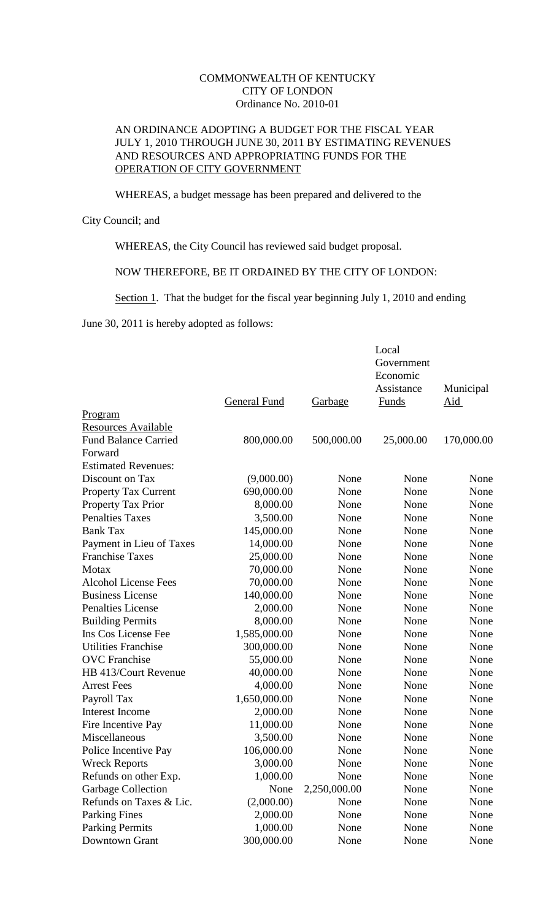## COMMONWEALTH OF KENTUCKY CITY OF LONDON Ordinance No. 2010-01

## AN ORDINANCE ADOPTING A BUDGET FOR THE FISCAL YEAR JULY 1, 2010 THROUGH JUNE 30, 2011 BY ESTIMATING REVENUES AND RESOURCES AND APPROPRIATING FUNDS FOR THE OPERATION OF CITY GOVERNMENT

WHEREAS, a budget message has been prepared and delivered to the

## City Council; and

WHEREAS, the City Council has reviewed said budget proposal.

NOW THEREFORE, BE IT ORDAINED BY THE CITY OF LONDON:

Section 1. That the budget for the fiscal year beginning July 1, 2010 and ending

June 30, 2011 is hereby adopted as follows:

|                             |              |              | Local        |            |
|-----------------------------|--------------|--------------|--------------|------------|
|                             |              |              | Government   |            |
|                             |              |              | Economic     |            |
|                             |              |              | Assistance   | Municipal  |
| Program                     | General Fund | Garbage      | <b>Funds</b> | <u>Aid</u> |
| <b>Resources Available</b>  |              |              |              |            |
| <b>Fund Balance Carried</b> | 800,000.00   | 500,000.00   | 25,000.00    | 170,000.00 |
| Forward                     |              |              |              |            |
| <b>Estimated Revenues:</b>  |              |              |              |            |
| Discount on Tax             | (9,000.00)   | None         | None         | None       |
| <b>Property Tax Current</b> | 690,000.00   | None         | None         | None       |
| Property Tax Prior          | 8,000.00     | None         | None         | None       |
| <b>Penalties Taxes</b>      | 3,500.00     | None         | None         | None       |
| <b>Bank Tax</b>             | 145,000.00   | None         | None         | None       |
| Payment in Lieu of Taxes    | 14,000.00    | None         | None         | None       |
| <b>Franchise Taxes</b>      | 25,000.00    | None         | None         | None       |
| Motax                       | 70,000.00    | None         | None         | None       |
| <b>Alcohol License Fees</b> | 70,000.00    | None         | None         | None       |
| <b>Business License</b>     | 140,000.00   | None         | None         | None       |
| Penalties License           | 2,000.00     | None         | None         | None       |
| <b>Building Permits</b>     | 8,000.00     | None         | None         | None       |
| Ins Cos License Fee         | 1,585,000.00 | None         | None         | None       |
| <b>Utilities Franchise</b>  | 300,000.00   | None         | None         | None       |
| <b>OVC</b> Franchise        | 55,000.00    | None         | None         | None       |
| HB 413/Court Revenue        | 40,000.00    | None         | None         | None       |
| <b>Arrest Fees</b>          | 4,000.00     | None         | None         | None       |
| Payroll Tax                 | 1,650,000.00 | None         | None         | None       |
| <b>Interest Income</b>      | 2,000.00     | None         | None         | None       |
| Fire Incentive Pay          | 11,000.00    | None         | None         | None       |
| Miscellaneous               | 3,500.00     | None         | None         | None       |
| Police Incentive Pay        | 106,000.00   | None         | None         | None       |
| <b>Wreck Reports</b>        | 3,000.00     | None         | None         | None       |
| Refunds on other Exp.       | 1,000.00     | None         | None         | None       |
| Garbage Collection          | None         | 2,250,000.00 | None         | None       |
| Refunds on Taxes & Lic.     | (2,000.00)   | None         | None         | None       |
| <b>Parking Fines</b>        | 2,000.00     | None         | None         | None       |
| <b>Parking Permits</b>      | 1,000.00     | None         | None         | None       |
| Downtown Grant              | 300,000.00   | None         | None         | None       |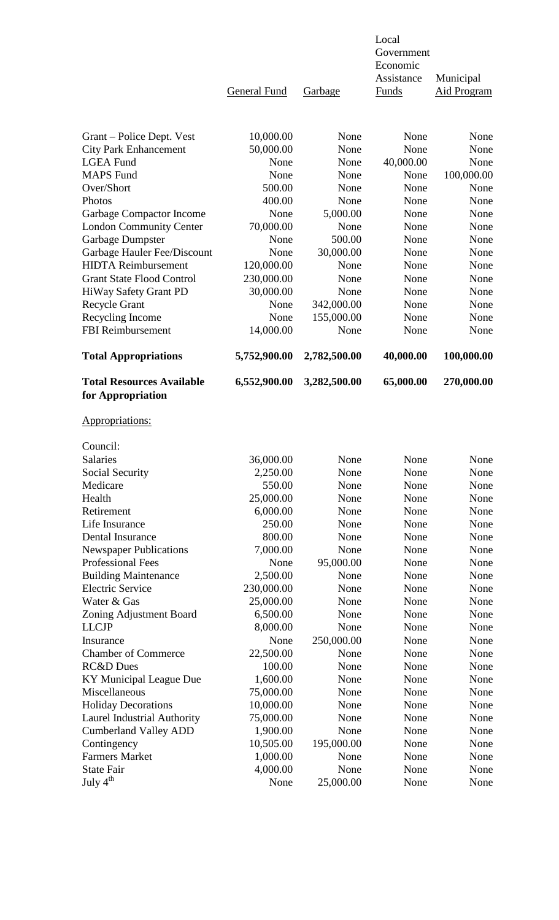|                                                        | <b>General Fund</b>    | Garbage      | Local<br>Government<br>Economic<br>Assistance<br>Funds | Municipal<br><b>Aid Program</b> |
|--------------------------------------------------------|------------------------|--------------|--------------------------------------------------------|---------------------------------|
|                                                        |                        |              |                                                        |                                 |
| Grant – Police Dept. Vest                              | 10,000.00              | None         | None                                                   | None                            |
| <b>City Park Enhancement</b>                           | 50,000.00              | None         | None                                                   | None                            |
| <b>LGEA Fund</b>                                       | None                   | None         | 40,000.00                                              | None                            |
| <b>MAPS</b> Fund<br>Over/Short                         | None                   | None         | None                                                   | 100,000.00                      |
| Photos                                                 | 500.00<br>400.00       | None<br>None | None<br>None                                           | None<br>None                    |
| <b>Garbage Compactor Income</b>                        | None                   | 5,000.00     | None                                                   | None                            |
| <b>London Community Center</b>                         | 70,000.00              | None         | None                                                   | None                            |
| Garbage Dumpster                                       | None                   | 500.00       | None                                                   | None                            |
| Garbage Hauler Fee/Discount                            | None                   | 30,000.00    | None                                                   | None                            |
| <b>HIDTA Reimbursement</b>                             | 120,000.00             | None         | None                                                   | None                            |
| <b>Grant State Flood Control</b>                       | 230,000.00             | None         | None                                                   | None                            |
| HiWay Safety Grant PD                                  | 30,000.00              | None         | None                                                   | None                            |
| <b>Recycle Grant</b>                                   | None                   | 342,000.00   | None                                                   | None                            |
| Recycling Income                                       | None                   | 155,000.00   | None                                                   | None                            |
| <b>FBI</b> Reimbursement                               | 14,000.00              | None         | None                                                   | None                            |
| <b>Total Appropriations</b>                            | 5,752,900.00           | 2,782,500.00 | 40,000.00                                              | 100,000.00                      |
| <b>Total Resources Available</b><br>for Appropriation  | 6,552,900.00           | 3,282,500.00 | 65,000.00                                              | 270,000.00                      |
| Appropriations:                                        |                        |              |                                                        |                                 |
| Council:                                               |                        |              |                                                        |                                 |
| <b>Salaries</b>                                        | 36,000.00              | None         | None                                                   | None                            |
| Social Security                                        | 2,250.00               | None         | None                                                   | None                            |
| Medicare                                               | 550.00                 | None         | None                                                   | None                            |
| Health                                                 | 25,000.00              | None         | None                                                   | None                            |
| Retirement                                             | 6,000.00               | None         | None                                                   | None                            |
| Life Insurance                                         | 250.00                 | None         | None                                                   | None                            |
| Dental Insurance                                       | 800.00                 | None         | None                                                   | None                            |
| <b>Newspaper Publications</b>                          | 7,000.00               | None         | None                                                   | None                            |
| Professional Fees                                      | None                   | 95,000.00    | None                                                   | None                            |
| <b>Building Maintenance</b><br><b>Electric Service</b> | 2,500.00<br>230,000.00 | None<br>None | None<br>None                                           | None<br>None                    |
| Water & Gas                                            | 25,000.00              | None         | None                                                   | None                            |
| Zoning Adjustment Board                                | 6,500.00               | None         | None                                                   | None                            |
| <b>LLCJP</b>                                           | 8,000.00               | None         | None                                                   | None                            |
| Insurance                                              | None                   | 250,000.00   | None                                                   | None                            |
| <b>Chamber of Commerce</b>                             | 22,500.00              | None         | None                                                   | None                            |
| <b>RC&amp;D</b> Dues                                   | 100.00                 | None         | None                                                   | None                            |
| KY Municipal League Due                                | 1,600.00               | None         | None                                                   | None                            |
| Miscellaneous                                          | 75,000.00              | None         | None                                                   | None                            |
| <b>Holiday Decorations</b>                             | 10,000.00              | None         | None                                                   | None                            |
| Laurel Industrial Authority                            | 75,000.00              | None         | None                                                   | None                            |
| <b>Cumberland Valley ADD</b>                           | 1,900.00               | None         | None                                                   | None                            |
| Contingency                                            | 10,505.00              | 195,000.00   | None                                                   | None                            |
| <b>Farmers Market</b>                                  | 1,000.00               | None         | None                                                   | None                            |
| <b>State Fair</b>                                      | 4,000.00               | None         | None                                                   | None                            |
| July $4^{\text{th}}$                                   | None                   | 25,000.00    | None                                                   | None                            |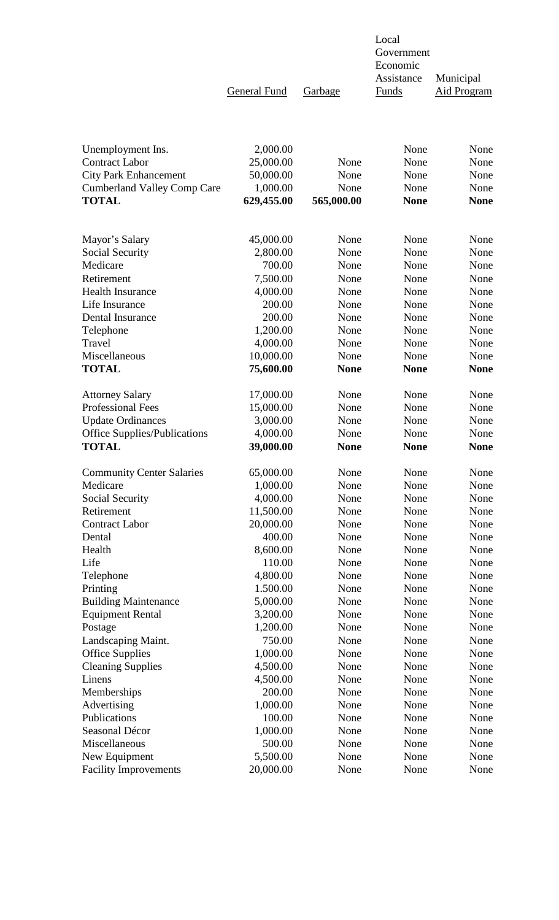General Fund Garbage Funds Aid Program

 Government Economic Assistance Municipal

Local

| Unemployment Ins.                   | 2,000.00   |             | None        | None        |
|-------------------------------------|------------|-------------|-------------|-------------|
| <b>Contract Labor</b>               | 25,000.00  | None        | None        | None        |
| <b>City Park Enhancement</b>        | 50,000.00  | None        | None        | None        |
| <b>Cumberland Valley Comp Care</b>  | 1,000.00   | None        | None        | None        |
| <b>TOTAL</b>                        | 629,455.00 | 565,000.00  | <b>None</b> | <b>None</b> |
|                                     |            |             |             |             |
| Mayor's Salary                      | 45,000.00  | None        | None        | None        |
| Social Security                     | 2,800.00   | None        | None        | None        |
| Medicare                            | 700.00     | None        | None        | None        |
| Retirement                          | 7,500.00   | None        | None        | None        |
| <b>Health Insurance</b>             | 4,000.00   | None        | None        | None        |
| Life Insurance                      | 200.00     | None        | None        | None        |
| Dental Insurance                    | 200.00     | None        | None        | None        |
| Telephone                           | 1,200.00   | None        | None        | None        |
| Travel                              | 4,000.00   | None        | None        | None        |
| Miscellaneous                       | 10,000.00  | None        | None        | None        |
| <b>TOTAL</b>                        | 75,600.00  | <b>None</b> | <b>None</b> | <b>None</b> |
| <b>Attorney Salary</b>              | 17,000.00  | None        | None        | None        |
| <b>Professional Fees</b>            | 15,000.00  | None        | None        | None        |
| <b>Update Ordinances</b>            | 3,000.00   | None        | None        | None        |
| <b>Office Supplies/Publications</b> | 4,000.00   | None        | None        | None        |
| <b>TOTAL</b>                        | 39,000.00  | <b>None</b> | <b>None</b> | <b>None</b> |
| <b>Community Center Salaries</b>    | 65,000.00  | None        | None        | None        |
| Medicare                            | 1,000.00   | None        | None        | None        |
| Social Security                     | 4,000.00   | None        | None        | None        |
| Retirement                          | 11,500.00  | None        | None        | None        |
| <b>Contract Labor</b>               | 20,000.00  | None        | None        | None        |
| Dental                              | 400.00     | None        | None        | None        |
| Health                              | 8,600.00   | None        | None        | None        |
| Life                                | 110.00     | None        | None        | None        |
| Telephone                           | 4,800.00   | None        | None        | None        |
| Printing                            | 1.500.00   | None        | None        | None        |
| <b>Building Maintenance</b>         | 5,000.00   | None        | None        | None        |
| <b>Equipment Rental</b>             | 3,200.00   | None        | None        | None        |
| Postage                             | 1,200.00   | None        | None        | None        |
| Landscaping Maint.                  | 750.00     | None        | None        | None        |
| <b>Office Supplies</b>              | 1,000.00   | None        | None        | None        |
| <b>Cleaning Supplies</b>            | 4,500.00   | None        | None        | None        |
| Linens                              | 4,500.00   | None        | None        | None        |
| Memberships                         | 200.00     | None        | None        | None        |
| Advertising                         | 1,000.00   | None        | None        | None        |
| Publications                        | 100.00     | None        | None        | None        |
| Seasonal Décor                      | 1,000.00   | None        | None        | None        |
| Miscellaneous                       | 500.00     | None        | None        | None        |
| New Equipment                       | 5,500.00   | None        | None        | None        |
| <b>Facility Improvements</b>        | 20,000.00  | None        | None        | None        |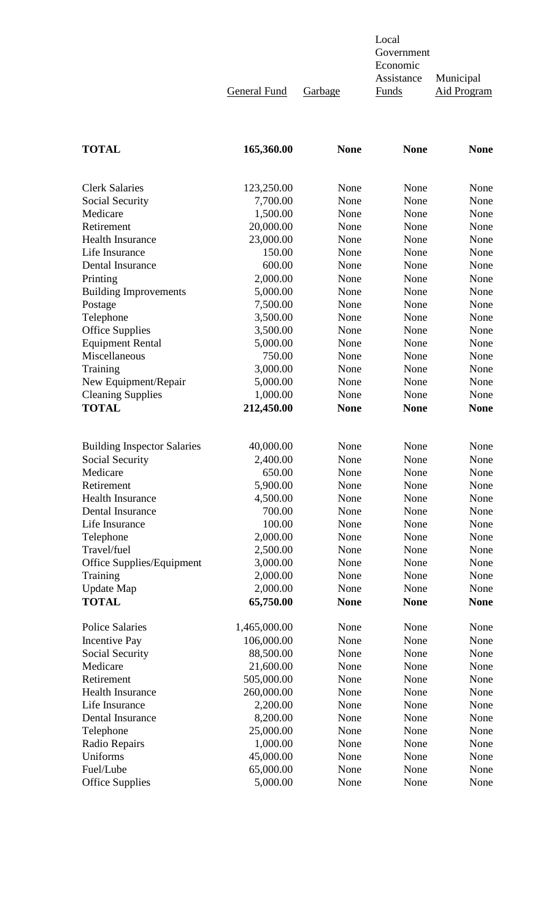Government Economic Assistance Municipal General Fund Garbage Funds Aid Program

Local

| <b>TOTAL</b>                       | 165,360.00   | <b>None</b> | <b>None</b> | <b>None</b> |
|------------------------------------|--------------|-------------|-------------|-------------|
|                                    |              |             |             |             |
| <b>Clerk Salaries</b>              | 123,250.00   | None        | None        | None        |
| Social Security                    | 7,700.00     | None        | None        | None        |
| Medicare                           | 1,500.00     | None        | None        | None        |
| Retirement                         | 20,000.00    | None        | None        | None        |
| <b>Health Insurance</b>            | 23,000.00    | None        | None        | None        |
| Life Insurance                     | 150.00       | None        | None        | None        |
| Dental Insurance                   | 600.00       | None        | None        | None        |
| Printing                           | 2,000.00     | None        | None        | None        |
| <b>Building Improvements</b>       | 5,000.00     | None        | None        | None        |
| Postage                            | 7,500.00     | None        | None        | None        |
| Telephone                          | 3,500.00     | None        | None        | None        |
| <b>Office Supplies</b>             | 3,500.00     | None        | None        | None        |
| <b>Equipment Rental</b>            | 5,000.00     | None        | None        | None        |
| Miscellaneous                      | 750.00       | None        | None        | None        |
| Training                           | 3,000.00     | None        | None        | None        |
| New Equipment/Repair               | 5,000.00     | None        | None        | None        |
| <b>Cleaning Supplies</b>           | 1,000.00     | None        | None        | None        |
| <b>TOTAL</b>                       | 212,450.00   | <b>None</b> | <b>None</b> | <b>None</b> |
|                                    |              |             |             |             |
| <b>Building Inspector Salaries</b> | 40,000.00    | None        | None        | None        |
| Social Security                    | 2,400.00     | None        | None        | None        |
| Medicare                           | 650.00       | None        | None        | None        |
| Retirement                         | 5,900.00     | None        | None        | None        |
| <b>Health Insurance</b>            | 4,500.00     | None        | None        | None        |
| Dental Insurance                   | 700.00       | None        | None        | None        |
| Life Insurance                     | 100.00       | None        | None        | None        |
| Telephone                          | 2,000.00     | None        | None        | None        |
| Travel/fuel                        | 2,500.00     | None        | None        | None        |
| Office Supplies/Equipment          | 3,000.00     | None        | None        | None        |
| Training                           | 2,000.00     | None        | None        | None        |
| <b>Update Map</b>                  | 2,000.00     | None        | None        | None        |
| <b>TOTAL</b>                       | 65,750.00    | <b>None</b> | <b>None</b> | <b>None</b> |
| <b>Police Salaries</b>             | 1,465,000.00 | None        | None        | None        |
| <b>Incentive Pay</b>               | 106,000.00   | None        | None        | None        |
| Social Security                    | 88,500.00    | None        | None        | None        |
| Medicare                           | 21,600.00    | None        | None        | None        |
| Retirement                         | 505,000.00   | None        | None        | None        |
| <b>Health Insurance</b>            | 260,000.00   | None        | None        | None        |
| Life Insurance                     | 2,200.00     | None        | None        | None        |
| Dental Insurance                   | 8,200.00     | None        | None        | None        |
| Telephone                          | 25,000.00    | None        | None        | None        |
| Radio Repairs                      | 1,000.00     | None        | None        | None        |
| Uniforms                           | 45,000.00    | None        | None        | None        |
| Fuel/Lube                          | 65,000.00    | None        | None        | None        |
| <b>Office Supplies</b>             | 5,000.00     | None        | None        | None        |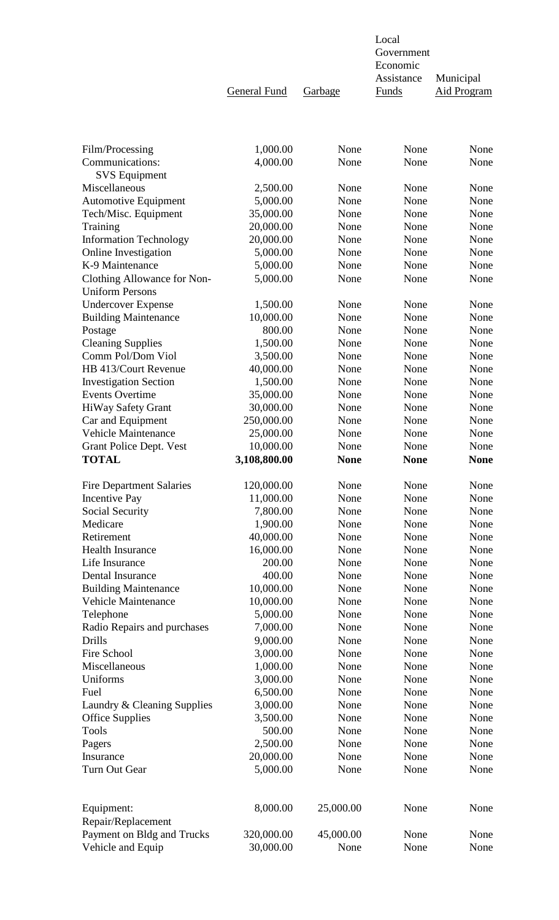|                                                       | General Fund         | Garbage      | Economic<br>Assistance<br><b>Funds</b> | Municipal<br><b>Aid Program</b> |
|-------------------------------------------------------|----------------------|--------------|----------------------------------------|---------------------------------|
|                                                       |                      |              |                                        | None                            |
| Film/Processing<br>Communications:                    | 1,000.00<br>4,000.00 | None<br>None | None<br>None                           | None                            |
| <b>SVS</b> Equipment                                  |                      |              |                                        |                                 |
| Miscellaneous                                         | 2,500.00             | None         | None                                   | None                            |
| <b>Automotive Equipment</b>                           | 5,000.00             | None         | None                                   | None                            |
| Tech/Misc. Equipment                                  | 35,000.00            | None         | None                                   | None                            |
| Training                                              | 20,000.00            | None         | None                                   | None                            |
| <b>Information Technology</b>                         | 20,000.00            | None         | None                                   | None                            |
| <b>Online Investigation</b>                           | 5,000.00             | None         | None                                   | None                            |
| K-9 Maintenance                                       | 5,000.00             | None         | None                                   | None                            |
| Clothing Allowance for Non-<br><b>Uniform Persons</b> | 5,000.00             | None         | None                                   | None                            |
| <b>Undercover Expense</b>                             | 1,500.00             | None         | None                                   | None                            |
| <b>Building Maintenance</b>                           | 10,000.00            | None         | None                                   | None                            |
| Postage<br><b>Cleaning Supplies</b>                   | 800.00<br>1,500.00   | None<br>None | None<br>None                           | None<br>None                    |
| Comm Pol/Dom Viol                                     | 3,500.00             | None         | None                                   | None                            |
| HB 413/Court Revenue                                  | 40,000.00            | None         | None                                   | None                            |
| <b>Investigation Section</b>                          | 1,500.00             | None         | None                                   | None                            |
| <b>Events Overtime</b>                                | 35,000.00            | None         | None                                   | None                            |
| <b>HiWay Safety Grant</b>                             | 30,000.00            | None         | None                                   | None                            |
| Car and Equipment                                     | 250,000.00           | None         | None                                   | None                            |
| <b>Vehicle Maintenance</b>                            | 25,000.00            | None         | None                                   | None                            |
| Grant Police Dept. Vest                               | 10,000.00            | None         | None                                   | None                            |
| <b>TOTAL</b>                                          | 3,108,800.00         | <b>None</b>  | <b>None</b>                            | <b>None</b>                     |
| <b>Fire Department Salaries</b>                       | 120,000.00           | None         | None                                   | None                            |
| <b>Incentive Pay</b>                                  | 11,000.00            | None         | None                                   | None                            |
| Social Security                                       | 7,800.00             | None         | None                                   | None                            |
| Medicare                                              | 1,900.00             | None         | None                                   | None                            |
| Retirement                                            | 40,000.00            | None         | None                                   | None                            |
| <b>Health Insurance</b>                               | 16,000.00            | None         | None                                   | None                            |
| Life Insurance                                        | 200.00               | None         | None                                   | None                            |
| Dental Insurance                                      | 400.00               | None         | None                                   | None                            |
| <b>Building Maintenance</b>                           | 10,000.00            | None         | None                                   | None                            |
| <b>Vehicle Maintenance</b>                            | 10,000.00            | None         | None                                   | None                            |
| Telephone                                             | 5,000.00             | None         | None                                   | None                            |
| Radio Repairs and purchases                           | 7,000.00             | None         | None                                   | None                            |
| Drills<br>Fire School                                 | 9,000.00<br>3,000.00 | None<br>None | None<br>None                           | None<br>None                    |
| Miscellaneous                                         | 1,000.00             | None         | None                                   | None                            |
| Uniforms                                              | 3,000.00             | None         | None                                   | None                            |
| Fuel                                                  | 6,500.00             | None         | None                                   | None                            |
| Laundry & Cleaning Supplies                           | 3,000.00             | None         | None                                   | None                            |
| <b>Office Supplies</b>                                | 3,500.00             | None         | None                                   | None                            |
| <b>Tools</b>                                          | 500.00               | None         | None                                   | None                            |
| Pagers                                                | 2,500.00             | None         | None                                   | None                            |
| Insurance                                             | 20,000.00            | None         | None                                   | None                            |
| Turn Out Gear                                         | 5,000.00             | None         | None                                   | None                            |
| Equipment:                                            | 8,000.00             | 25,000.00    | None                                   | None                            |
| Repair/Replacement                                    |                      |              |                                        |                                 |
| Payment on Bldg and Trucks                            | 320,000.00           | 45,000.00    | None                                   | None                            |
| Vehicle and Equip                                     | 30,000.00            | None         | None                                   | None                            |

Local

Government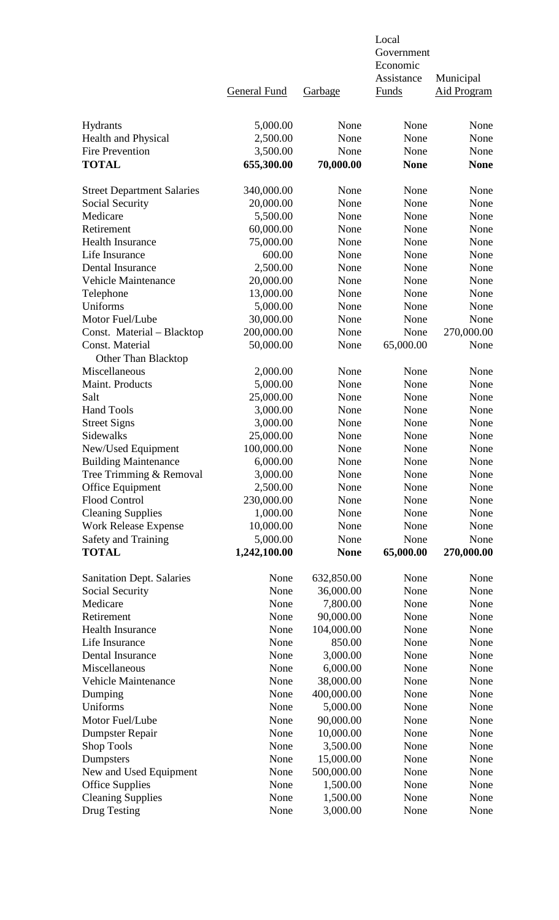|                                   |                     |             | Local        |                    |
|-----------------------------------|---------------------|-------------|--------------|--------------------|
|                                   |                     |             | Government   |                    |
|                                   |                     |             | Economic     |                    |
|                                   |                     |             | Assistance   | Municipal          |
|                                   | <b>General Fund</b> | Garbage     | <b>Funds</b> | <b>Aid Program</b> |
|                                   |                     |             |              |                    |
| Hydrants                          | 5,000.00            | None        | None         | None               |
| Health and Physical               | 2,500.00            | None        | None         | None               |
| <b>Fire Prevention</b>            | 3,500.00            | None        | None         | None               |
| <b>TOTAL</b>                      | 655,300.00          | 70,000.00   | <b>None</b>  | <b>None</b>        |
|                                   |                     |             |              |                    |
| <b>Street Department Salaries</b> | 340,000.00          | None        | None         | None               |
| Social Security                   | 20,000.00           | None        | None         | None               |
| Medicare                          | 5,500.00            | None        | None         | None               |
| Retirement                        | 60,000.00           | None        | None         | None               |
| <b>Health Insurance</b>           | 75,000.00           | None        | None         | None               |
| Life Insurance                    | 600.00              | None        | None         | None               |
| Dental Insurance                  | 2,500.00            | None        | None         | None               |
|                                   |                     |             |              |                    |
| <b>Vehicle Maintenance</b>        | 20,000.00           | None        | None         | None               |
| Telephone                         | 13,000.00           | None        | None         | None               |
| Uniforms                          | 5,000.00            | None        | None         | None               |
| Motor Fuel/Lube                   | 30,000.00           | None        | None         | None               |
| Const. Material - Blacktop        | 200,000.00          | None        | None         | 270,000.00         |
| Const. Material                   | 50,000.00           | None        | 65,000.00    | None               |
| <b>Other Than Blacktop</b>        |                     |             |              |                    |
| Miscellaneous                     | 2,000.00            | None        | None         | None               |
| Maint. Products                   | 5,000.00            | None        | None         | None               |
| Salt                              | 25,000.00           | None        | None         | None               |
| <b>Hand Tools</b>                 | 3,000.00            | None        | None         | None               |
| <b>Street Signs</b>               | 3,000.00            | None        | None         | None               |
| Sidewalks                         | 25,000.00           | None        | None         | None               |
| New/Used Equipment                | 100,000.00          | None        | None         | None               |
| <b>Building Maintenance</b>       | 6,000.00            | None        | None         | None               |
| Tree Trimming & Removal           | 3,000.00            | None        | None         | None               |
| Office Equipment                  | 2,500.00            | None        | None         | None               |
| <b>Flood Control</b>              | 230,000.00          | None        | None         | None               |
|                                   | 1,000.00            | None        | None         | None               |
| <b>Cleaning Supplies</b>          |                     |             |              |                    |
| <b>Work Release Expense</b>       | 10,000.00           | None        | None         | None               |
| <b>Safety and Training</b>        | 5,000.00            | None        | None         | None               |
| <b>TOTAL</b>                      | 1,242,100.00        | <b>None</b> | 65,000.00    | 270,000.00         |
| <b>Sanitation Dept. Salaries</b>  | None                | 632,850.00  | None         | None               |
| Social Security                   | None                | 36,000.00   | None         | None               |
| Medicare                          | None                | 7,800.00    | None         | None               |
| Retirement                        | None                | 90,000.00   | None         | None               |
| <b>Health Insurance</b>           | None                | 104,000.00  | None         | None               |
| Life Insurance                    | None                | 850.00      | None         | None               |
|                                   |                     |             |              |                    |
| Dental Insurance                  | None                | 3,000.00    | None         | None               |
| Miscellaneous                     | None                | 6,000.00    | None         | None               |
| <b>Vehicle Maintenance</b>        | None                | 38,000.00   | None         | None               |
| Dumping                           | None                | 400,000.00  | None         | None               |
| Uniforms                          | None                | 5,000.00    | None         | None               |
| Motor Fuel/Lube                   | None                | 90,000.00   | None         | None               |
| <b>Dumpster Repair</b>            | None                | 10,000.00   | None         | None               |
| <b>Shop Tools</b>                 | None                | 3,500.00    | None         | None               |
| Dumpsters                         | None                | 15,000.00   | None         | None               |
| New and Used Equipment            | None                | 500,000.00  | None         | None               |
| <b>Office Supplies</b>            | None                | 1,500.00    | None         | None               |
| <b>Cleaning Supplies</b>          | None                | 1,500.00    | None         | None               |
| Drug Testing                      | None                | 3,000.00    | None         | None               |
|                                   |                     |             |              |                    |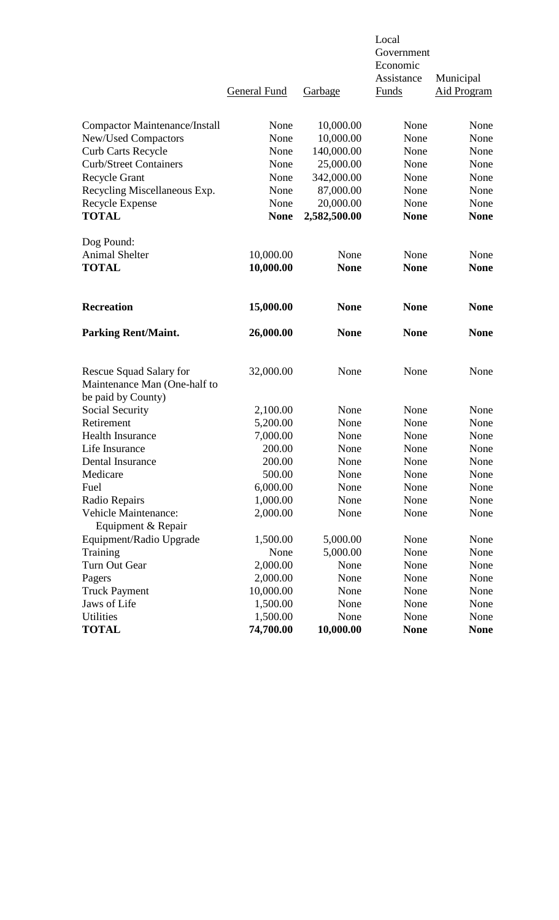|                                      |                     |              | Local<br>Government |                    |  |
|--------------------------------------|---------------------|--------------|---------------------|--------------------|--|
|                                      |                     |              | Economic            |                    |  |
|                                      |                     |              | Assistance          | Municipal          |  |
|                                      | <b>General Fund</b> | Garbage      | <b>Funds</b>        | <b>Aid Program</b> |  |
| <b>Compactor Maintenance/Install</b> | None                | 10,000.00    | None                | None               |  |
| <b>New/Used Compactors</b>           | None                | 10,000.00    | None                | None               |  |
| <b>Curb Carts Recycle</b>            | None                | 140,000.00   | None                | None               |  |
| <b>Curb/Street Containers</b>        | None                | 25,000.00    | None                | None               |  |
| <b>Recycle Grant</b>                 | None                | 342,000.00   | None                | None               |  |
| Recycling Miscellaneous Exp.         | None                | 87,000.00    | None                | None               |  |
| Recycle Expense                      | None                | 20,000.00    | None                | None               |  |
| <b>TOTAL</b>                         | <b>None</b>         | 2,582,500.00 | <b>None</b>         | <b>None</b>        |  |
| Dog Pound:                           |                     |              |                     |                    |  |
| <b>Animal Shelter</b>                | 10,000.00           | None         | None                | None               |  |
| <b>TOTAL</b>                         | 10,000.00           | <b>None</b>  | <b>None</b>         | <b>None</b>        |  |
| <b>Recreation</b>                    | 15,000.00           | <b>None</b>  | <b>None</b>         | <b>None</b>        |  |
| <b>Parking Rent/Maint.</b>           | 26,000.00           | <b>None</b>  | <b>None</b>         | <b>None</b>        |  |
| <b>Rescue Squad Salary for</b>       | 32,000.00           | None         | None                | None               |  |
| Maintenance Man (One-half to         |                     |              |                     |                    |  |
| be paid by County)                   |                     |              |                     |                    |  |
| Social Security                      | 2,100.00            | None         | None                | None               |  |
| Retirement                           | 5,200.00            | None         | None                | None               |  |
| <b>Health Insurance</b>              | 7,000.00            | None         | None                | None               |  |
| Life Insurance                       | 200.00              | None         | None                | None               |  |
| Dental Insurance                     | 200.00              | None         | None                | None               |  |
| Medicare                             | 500.00              | None         | None                | None               |  |
| Fuel                                 | 6,000.00            | None         | None                | None               |  |
| Radio Repairs                        | 1,000.00            | None         | None                | None               |  |
| Vehicle Maintenance:                 | 2,000.00            | None         | None                | None               |  |
| Equipment & Repair                   |                     |              |                     |                    |  |
| Equipment/Radio Upgrade              | 1,500.00            | 5,000.00     | None                | None               |  |
| Training                             | None                | 5,000.00     | None                | None               |  |
| Turn Out Gear                        | 2,000.00            | None         | None                | None               |  |
| Pagers                               | 2,000.00            | None         | None                | None               |  |
| <b>Truck Payment</b>                 | 10,000.00           | None         | None                | None               |  |
| Jaws of Life                         | 1,500.00            | None         | None                | None               |  |
| Utilities                            | 1,500.00            | None         | None                | None               |  |
| <b>TOTAL</b>                         | 74,700.00           | 10,000.00    | <b>None</b>         | <b>None</b>        |  |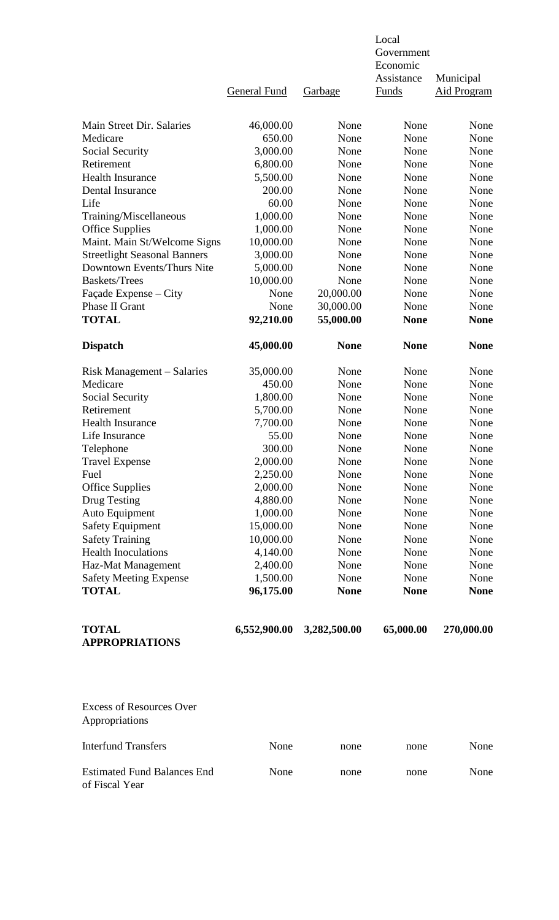|                                                      | <b>General Fund</b>   | <b>Garbage</b> | Local<br>Government<br>Economic<br>Assistance<br><b>Funds</b> | Municipal<br><b>Aid Program</b> |
|------------------------------------------------------|-----------------------|----------------|---------------------------------------------------------------|---------------------------------|
| Main Street Dir. Salaries                            |                       | None           | None                                                          | None                            |
| Medicare                                             | 46,000.00<br>650.00   | None           | None                                                          | None                            |
| Social Security                                      | 3,000.00              | None           | None                                                          | None                            |
| Retirement                                           | 6,800.00              | None           | None                                                          | None                            |
| <b>Health Insurance</b>                              | 5,500.00              | None           | None                                                          | None                            |
| Dental Insurance                                     | 200.00                | None           | None                                                          | None                            |
| Life                                                 | 60.00                 | None           | None                                                          | None                            |
| Training/Miscellaneous                               | 1,000.00              | None           | None                                                          | None                            |
| <b>Office Supplies</b>                               | 1,000.00              | None           | None                                                          | None                            |
| Maint. Main St/Welcome Signs                         | 10,000.00             | None           | None                                                          | None                            |
| <b>Streetlight Seasonal Banners</b>                  | 3,000.00              | None           | None                                                          | None                            |
| Downtown Events/Thurs Nite                           | 5,000.00              | None           | None                                                          | None                            |
| <b>Baskets/Trees</b>                                 | 10,000.00             | None           | None                                                          | None                            |
| Façade Expense – City                                | None                  | 20,000.00      | None                                                          | None                            |
| Phase II Grant                                       | None                  | 30,000.00      | None                                                          | None                            |
| <b>TOTAL</b>                                         | 92,210.00             | 55,000.00      | <b>None</b>                                                   | <b>None</b>                     |
| <b>Dispatch</b>                                      | 45,000.00             | <b>None</b>    | <b>None</b>                                                   | <b>None</b>                     |
| Risk Management – Salaries                           | 35,000.00             | None           | None                                                          | None                            |
| Medicare                                             | 450.00                | None           | None                                                          | None                            |
| Social Security                                      | 1,800.00              | None           | None                                                          | None                            |
| Retirement                                           | 5,700.00              | None           | None                                                          | None                            |
| <b>Health Insurance</b>                              | 7,700.00              | None           | None                                                          | None                            |
| Life Insurance                                       | 55.00                 | None           | None                                                          | None                            |
| Telephone                                            | 300.00                | None           | None                                                          | None                            |
| <b>Travel Expense</b>                                | 2,000.00              | None           | None                                                          | None                            |
| Fuel                                                 | 2,250.00              | None           | None                                                          | None                            |
| <b>Office Supplies</b>                               | 2,000.00              | None           | None                                                          | None                            |
| Drug Testing                                         | 4,880.00              | None           | None                                                          | None                            |
| Auto Equipment                                       | 1,000.00              | None           | None                                                          | None                            |
| <b>Safety Equipment</b>                              | 15,000.00             | None           | None                                                          | None                            |
| <b>Safety Training</b><br><b>Health Inoculations</b> | 10,000.00<br>4,140.00 | None<br>None   | None<br>None                                                  | None<br>None                    |
| Haz-Mat Management                                   | 2,400.00              | None           | None                                                          | None                            |
| <b>Safety Meeting Expense</b>                        | 1,500.00              | None           | None                                                          | None                            |
| <b>TOTAL</b>                                         | 96,175.00             | <b>None</b>    | <b>None</b>                                                   | <b>None</b>                     |
| <b>TOTAL</b><br><b>APPROPRIATIONS</b>                | 6,552,900.00          | 3,282,500.00   | 65,000.00                                                     | 270,000.00                      |
| <b>Excess of Resources Over</b><br>Appropriations    |                       |                |                                                               |                                 |
| <b>Interfund Transfers</b>                           | None                  | none           | none                                                          | None                            |
| <b>Estimated Fund Balances End</b><br>of Fiscal Year | None                  | none           | none                                                          | None                            |